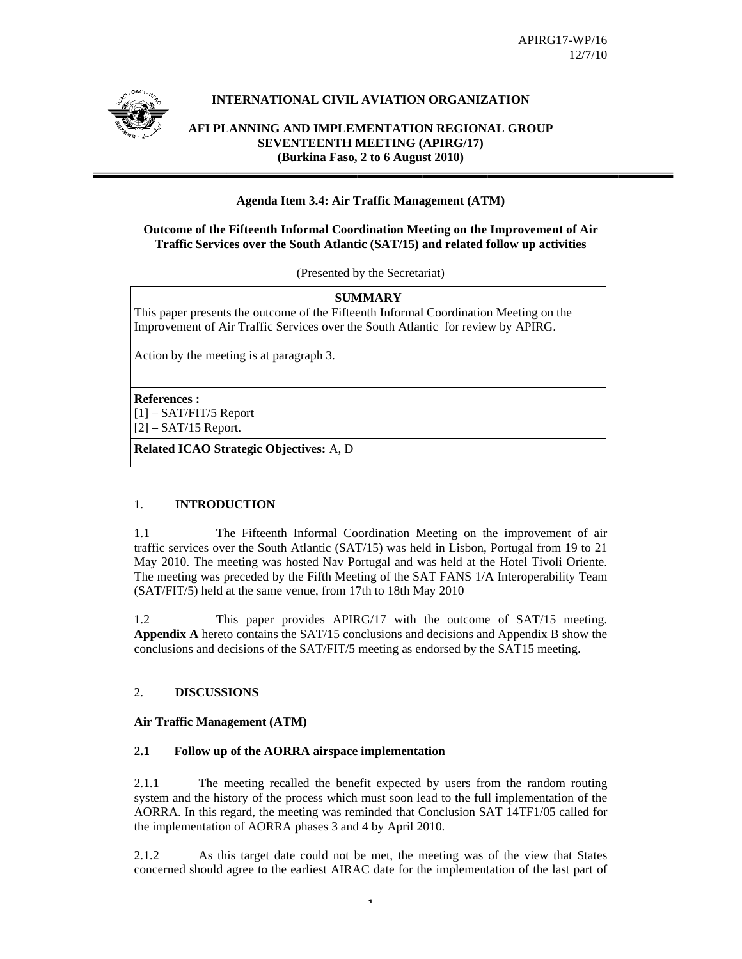

# **INTERNATIONAL CIVIL AVIATION ORGANIZATION**

**AFI PLANNING AND IMPLEMENTATION REGIONAL GROUP SEVEN NTEENTH M MEETING ( (APIRG/17) (Bu urkina Faso, 2 to 6 Augu st 2010)** 

# **Agenda Item 3.4: Air Traffic Management (ATM)**

## **Outcome of the Fifteenth Informal Coordination Meeting on the Improvement of Air Traffic Services over the South Atlantic (SAT/15) and related follow up activities**

(Presented by the Secretariat)

## **SUM MMARY**

This paper presents the outcome of the Fifteenth Informal Coordination Meeting on the Improvement of Air Traffic Services over the South Atlantic for review by APIRG.

Action by the meeting is at paragraph 3.

**Refer rences :**  [1] – SAT/FIT/5 R Report  $[2]$  – SAT/15 Report.

**Related ICAO Strategic Objectives:** A, D

#### 1. **INTRODUCTION**

1.1 traffic services over the South Atlantic (SAT/15) was held in Lisbon, Portugal from 19 to 21 May 2010. The meeting was hosted Nav Portugal and was held at the Hotel Tivoli Oriente. The meeting was preceded by the Fifth Meeting of the SAT FANS 1/A Interoperability Team (SAT/FIT/5) held at the same venue, from 17th to 18th May 2010 The Fifteenth Informal Coordination Meeting on the improvement of air

1.2 Appendix A hereto contains the SAT/15 conclusions and decisions and Appendix B show the conclusions and decisions of the SAT/FIT/5 meeting as endorsed by the SAT15 meeting. This paper provides APIRG/17 with the outcome of SAT/15 meeting.

#### $2<sup>1</sup>$ **DISCUSS SIONS**

## Air Traffic Management (ATM)

#### **2.1**  Follow up of the AORRA airspace implementation

2.1.1 system and the history of the process which must soon lead to the full implementation of the AORRA. In this regard, the meeting was reminded that Conclusion SAT 14TF1/05 called for the implementation of AORRA phases 3 and 4 by April 2010. The meeting recalled the benefit expected by users from the random routing

2.1.2 concerned should agree to the earliest AIRAC date for the implementation of the last part of As this target date could not be met, the meeting was of the view that States

1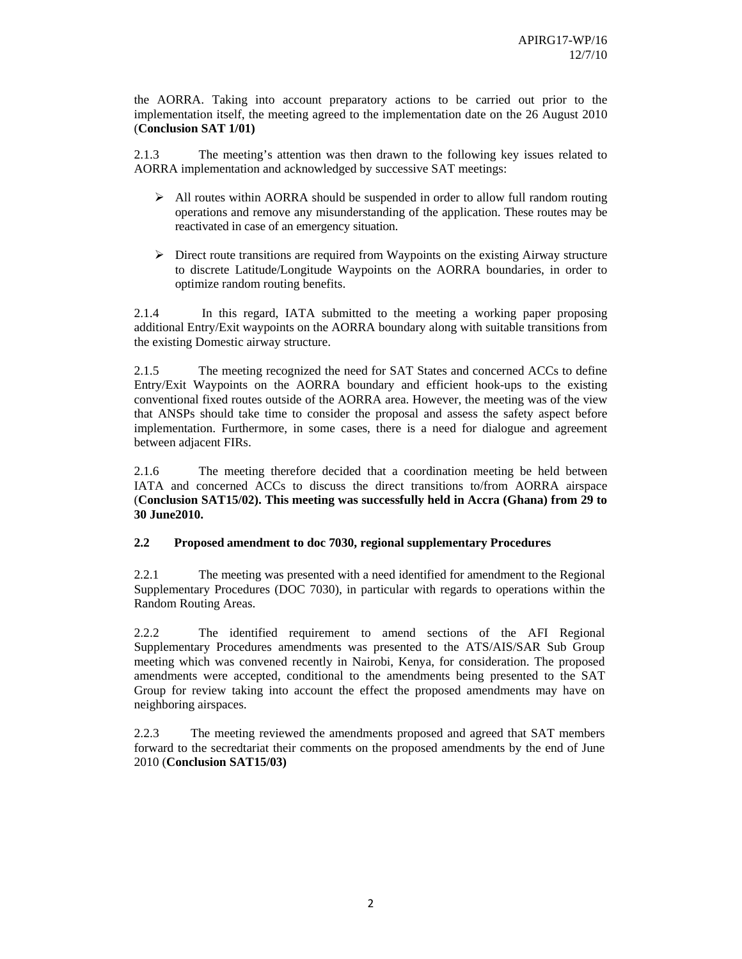the AORRA. Taking into account preparatory actions to be carried out prior to the implementation itself, the meeting agreed to the implementation date on the 26 August 2010 (**Conclusion SAT 1/01)** 

2.1.3 The meeting's attention was then drawn to the following key issues related to AORRA implementation and acknowledged by successive SAT meetings:

- $\triangleright$  All routes within AORRA should be suspended in order to allow full random routing operations and remove any misunderstanding of the application. These routes may be reactivated in case of an emergency situation.
- $\triangleright$  Direct route transitions are required from Waypoints on the existing Airway structure to discrete Latitude/Longitude Waypoints on the AORRA boundaries, in order to optimize random routing benefits.

2.1.4 In this regard, IATA submitted to the meeting a working paper proposing additional Entry/Exit waypoints on the AORRA boundary along with suitable transitions from the existing Domestic airway structure.

2.1.5 The meeting recognized the need for SAT States and concerned ACCs to define Entry/Exit Waypoints on the AORRA boundary and efficient hook-ups to the existing conventional fixed routes outside of the AORRA area. However, the meeting was of the view that ANSPs should take time to consider the proposal and assess the safety aspect before implementation. Furthermore, in some cases, there is a need for dialogue and agreement between adjacent FIRs.

2.1.6 The meeting therefore decided that a coordination meeting be held between IATA and concerned ACCs to discuss the direct transitions to/from AORRA airspace (**Conclusion SAT15/02). This meeting was successfully held in Accra (Ghana) from 29 to 30 June2010.**

## **2.2 Proposed amendment to doc 7030, regional supplementary Procedures**

2.2.1 The meeting was presented with a need identified for amendment to the Regional Supplementary Procedures (DOC 7030), in particular with regards to operations within the Random Routing Areas.

2.2.2 The identified requirement to amend sections of the AFI Regional Supplementary Procedures amendments was presented to the ATS/AIS/SAR Sub Group meeting which was convened recently in Nairobi, Kenya, for consideration. The proposed amendments were accepted, conditional to the amendments being presented to the SAT Group for review taking into account the effect the proposed amendments may have on neighboring airspaces.

2.2.3 The meeting reviewed the amendments proposed and agreed that SAT members forward to the secredtariat their comments on the proposed amendments by the end of June 2010 (**Conclusion SAT15/03)**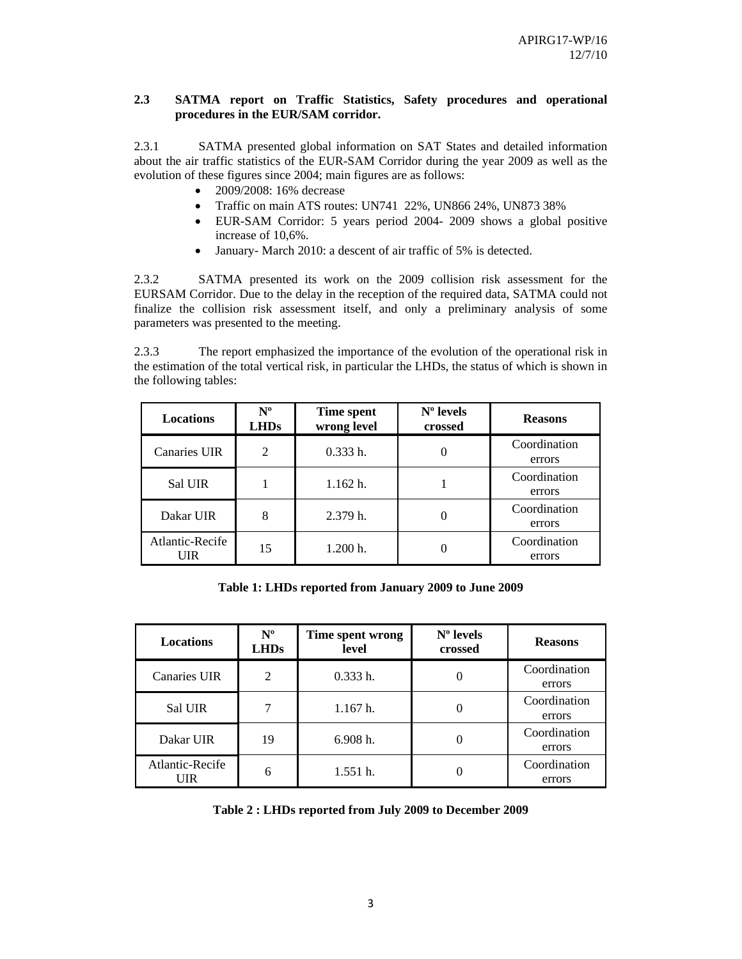## **2.3 SATMA report on Traffic Statistics, Safety procedures and operational procedures in the EUR/SAM corridor.**

2.3.1 SATMA presented global information on SAT States and detailed information about the air traffic statistics of the EUR-SAM Corridor during the year 2009 as well as the evolution of these figures since 2004; main figures are as follows:

- 2009/2008: 16% decrease
- Traffic on main ATS routes: UN741 22%, UN866 24%, UN873 38%
- EUR-SAM Corridor: 5 years period 2004- 2009 shows a global positive increase of 10,6%.
- January- March 2010: a descent of air traffic of 5% is detected.

2.3.2 SATMA presented its work on the 2009 collision risk assessment for the EURSAM Corridor. Due to the delay in the reception of the required data, SATMA could not finalize the collision risk assessment itself, and only a preliminary analysis of some parameters was presented to the meeting.

2.3.3 The report emphasized the importance of the evolution of the operational risk in the estimation of the total vertical risk, in particular the LHDs, the status of which is shown in the following tables:

| <b>Locations</b>       | $N^{\rm o}$<br><b>LHDs</b> | Time spent<br>wrong level | $No$ levels<br>crossed | <b>Reasons</b>         |
|------------------------|----------------------------|---------------------------|------------------------|------------------------|
| <b>Canaries UIR</b>    | $\overline{2}$             | $0.333h$ .                |                        | Coordination<br>errors |
| <b>Sal UIR</b>         |                            | 1.162 h.                  |                        | Coordination<br>errors |
| Dakar UIR              | 8                          | 2.379 h.                  |                        | Coordination<br>errors |
| Atlantic-Recife<br>UIR | 15                         | 1.200 h.                  |                        | Coordination<br>errors |

**Table 1: LHDs reported from January 2009 to June 2009** 

| <b>Locations</b>       | $N^{\rm o}$<br><b>LHDs</b> | Time spent wrong<br>level | $No$ levels<br>crossed | <b>Reasons</b>         |
|------------------------|----------------------------|---------------------------|------------------------|------------------------|
| Canaries UIR           | 2                          | 0.333h.                   |                        | Coordination<br>errors |
| Sal UIR                |                            | 1.167 h.                  |                        | Coordination<br>errors |
| Dakar UIR              | 19                         | 6.908 h.                  |                        | Coordination<br>errors |
| Atlantic-Recife<br>UIR | 6                          | 1.551h.                   |                        | Coordination<br>errors |

**Table 2 : LHDs reported from July 2009 to December 2009**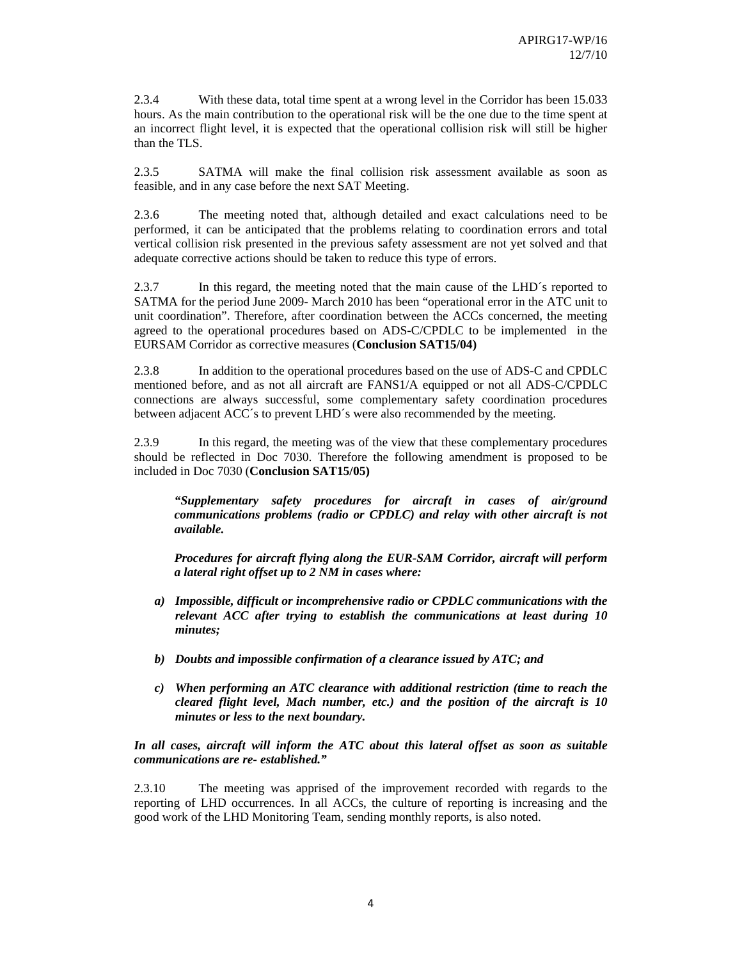2.3.4 With these data, total time spent at a wrong level in the Corridor has been 15.033 hours. As the main contribution to the operational risk will be the one due to the time spent at an incorrect flight level, it is expected that the operational collision risk will still be higher than the TLS.

2.3.5 SATMA will make the final collision risk assessment available as soon as feasible, and in any case before the next SAT Meeting.

2.3.6 The meeting noted that, although detailed and exact calculations need to be performed, it can be anticipated that the problems relating to coordination errors and total vertical collision risk presented in the previous safety assessment are not yet solved and that adequate corrective actions should be taken to reduce this type of errors.

2.3.7 In this regard, the meeting noted that the main cause of the LHD´s reported to SATMA for the period June 2009- March 2010 has been "operational error in the ATC unit to unit coordination". Therefore, after coordination between the ACCs concerned, the meeting agreed to the operational procedures based on ADS-C/CPDLC to be implemented in the EURSAM Corridor as corrective measures (**Conclusion SAT15/04)** 

2.3.8 In addition to the operational procedures based on the use of ADS-C and CPDLC mentioned before, and as not all aircraft are FANS1/A equipped or not all ADS-C/CPDLC connections are always successful, some complementary safety coordination procedures between adjacent ACC´s to prevent LHD´s were also recommended by the meeting.

2.3.9 In this regard, the meeting was of the view that these complementary procedures should be reflected in Doc 7030. Therefore the following amendment is proposed to be included in Doc 7030 (**Conclusion SAT15/05)** 

*"Supplementary safety procedures for aircraft in cases of air/ground communications problems (radio or CPDLC) and relay with other aircraft is not available.* 

*Procedures for aircraft flying along the EUR-SAM Corridor, aircraft will perform a lateral right offset up to 2 NM in cases where:* 

- *a) Impossible, difficult or incomprehensive radio or CPDLC communications with the relevant ACC after trying to establish the communications at least during 10 minutes;*
- *b) Doubts and impossible confirmation of a clearance issued by ATC; and*
- *c) When performing an ATC clearance with additional restriction (time to reach the cleared flight level, Mach number, etc.) and the position of the aircraft is 10 minutes or less to the next boundary.*

*In all cases, aircraft will inform the ATC about this lateral offset as soon as suitable communications are re- established."* 

2.3.10 The meeting was apprised of the improvement recorded with regards to the reporting of LHD occurrences. In all ACCs, the culture of reporting is increasing and the good work of the LHD Monitoring Team, sending monthly reports, is also noted.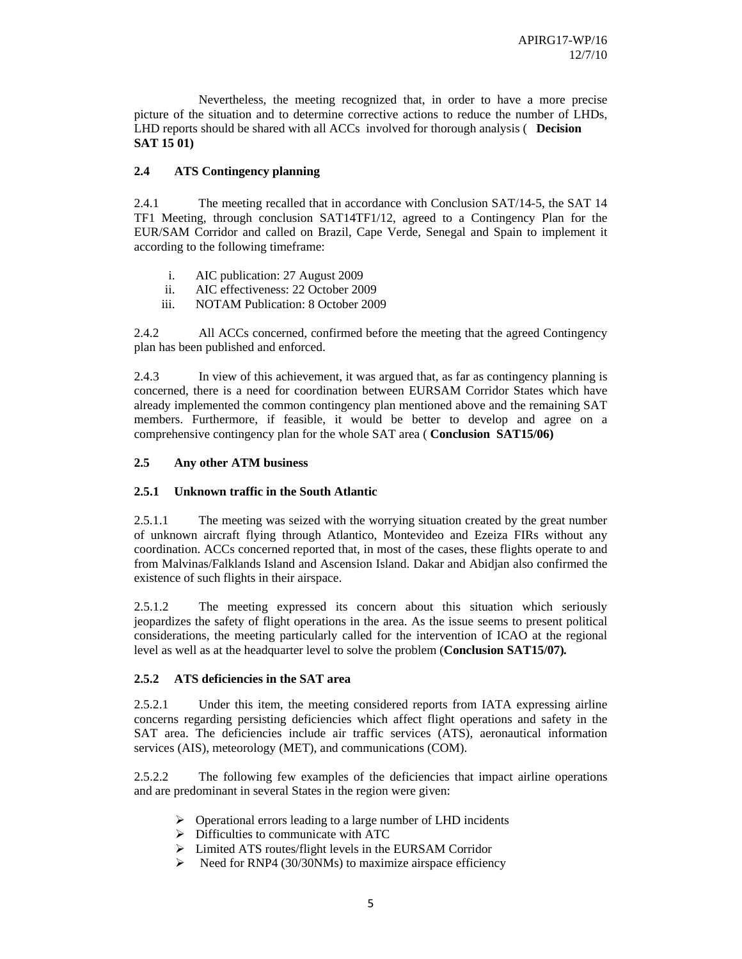Nevertheless, the meeting recognized that, in order to have a more precise picture of the situation and to determine corrective actions to reduce the number of LHDs, LHD reports should be shared with all ACCs involved for thorough analysis ( **Decision SAT 15 01)** 

# **2.4 ATS Contingency planning**

2.4.1 The meeting recalled that in accordance with Conclusion SAT/14-5, the SAT 14 TF1 Meeting, through conclusion SAT14TF1/12, agreed to a Contingency Plan for the EUR/SAM Corridor and called on Brazil, Cape Verde, Senegal and Spain to implement it according to the following timeframe:

- i. AIC publication: 27 August 2009
- ii. AIC effectiveness: 22 October 2009
- iii. NOTAM Publication: 8 October 2009

2.4.2 All ACCs concerned, confirmed before the meeting that the agreed Contingency plan has been published and enforced.

2.4.3 In view of this achievement, it was argued that, as far as contingency planning is concerned, there is a need for coordination between EURSAM Corridor States which have already implemented the common contingency plan mentioned above and the remaining SAT members. Furthermore, if feasible, it would be better to develop and agree on a comprehensive contingency plan for the whole SAT area ( **Conclusion SAT15/06)** 

## **2.5 Any other ATM business**

## **2.5.1 Unknown traffic in the South Atlantic**

2.5.1.1 The meeting was seized with the worrying situation created by the great number of unknown aircraft flying through Atlantico, Montevideo and Ezeiza FIRs without any coordination. ACCs concerned reported that, in most of the cases, these flights operate to and from Malvinas/Falklands Island and Ascension Island. Dakar and Abidjan also confirmed the existence of such flights in their airspace.

2.5.1.2 The meeting expressed its concern about this situation which seriously jeopardizes the safety of flight operations in the area. As the issue seems to present political considerations, the meeting particularly called for the intervention of ICAO at the regional level as well as at the headquarter level to solve the problem (**Conclusion SAT15/07)***.* 

## **2.5.2 ATS deficiencies in the SAT area**

2.5.2.1 Under this item, the meeting considered reports from IATA expressing airline concerns regarding persisting deficiencies which affect flight operations and safety in the SAT area. The deficiencies include air traffic services (ATS), aeronautical information services (AIS), meteorology (MET), and communications (COM).

2.5.2.2 The following few examples of the deficiencies that impact airline operations and are predominant in several States in the region were given:

- ¾ Operational errors leading to a large number of LHD incidents
- $\triangleright$  Difficulties to communicate with ATC
- ¾ Limited ATS routes/flight levels in the EURSAM Corridor
- $\triangleright$  Need for RNP4 (30/30NMs) to maximize airspace efficiency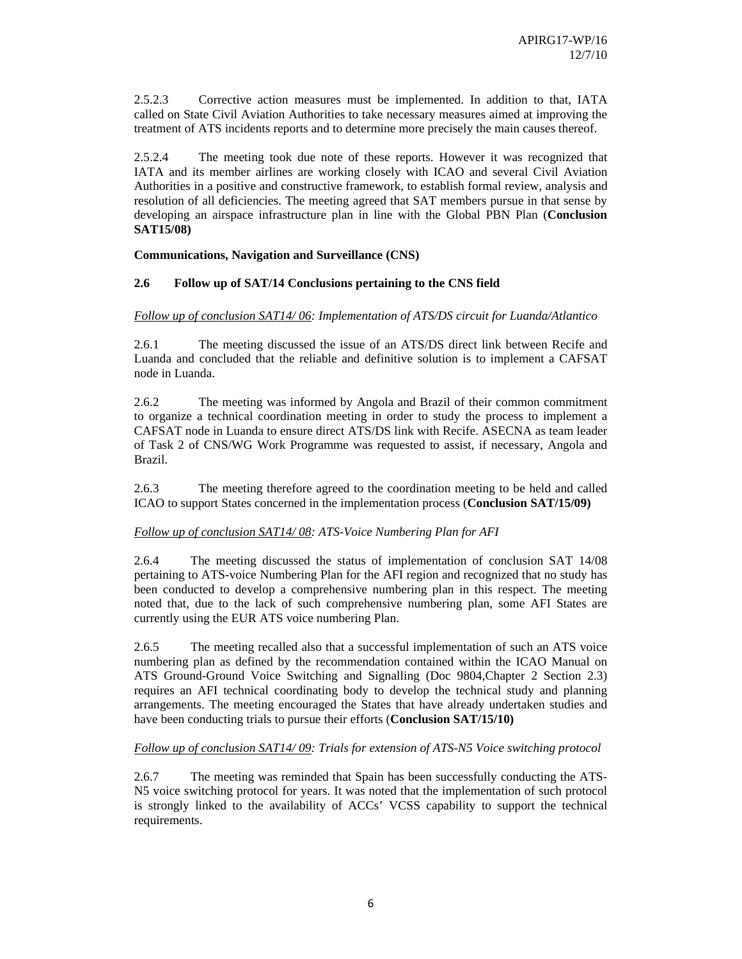2.5.2.3 Corrective action measures must be implemented. In addition to that, IATA called on State Civil Aviation Authorities to take necessary measures aimed at improving the treatment of ATS incidents reports and to determine more precisely the main causes thereof.

2.5.2.4 The meeting took due note of these reports. However it was recognized that IATA and its member airlines are working closely with ICAO and several Civil Aviation Authorities in a positive and constructive framework, to establish formal review, analysis and resolution of all deficiencies. The meeting agreed that SAT members pursue in that sense by developing an airspace infrastructure plan in line with the Global PBN Plan (**Conclusion SAT15/08)** 

## **Communications, Navigation and Surveillance (CNS)**

## **2.6 Follow up of SAT/14 Conclusions pertaining to the CNS field**

## *Follow up of conclusion SAT14/ 06: Implementation of ATS/DS circuit for Luanda/Atlantico*

2.6.1 The meeting discussed the issue of an ATS/DS direct link between Recife and Luanda and concluded that the reliable and definitive solution is to implement a CAFSAT node in Luanda.

2.6.2 The meeting was informed by Angola and Brazil of their common commitment to organize a technical coordination meeting in order to study the process to implement a CAFSAT node in Luanda to ensure direct ATS/DS link with Recife. ASECNA as team leader of Task 2 of CNS/WG Work Programme was requested to assist, if necessary, Angola and Brazil.

2.6.3 The meeting therefore agreed to the coordination meeting to be held and called ICAO to support States concerned in the implementation process (**Conclusion SAT/15/09)** 

## *Follow up of conclusion SAT14/ 08: ATS-Voice Numbering Plan for AFI*

2.6.4 The meeting discussed the status of implementation of conclusion SAT 14/08 pertaining to ATS-voice Numbering Plan for the AFI region and recognized that no study has been conducted to develop a comprehensive numbering plan in this respect. The meeting noted that, due to the lack of such comprehensive numbering plan, some AFI States are currently using the EUR ATS voice numbering Plan.

2.6.5 The meeting recalled also that a successful implementation of such an ATS voice numbering plan as defined by the recommendation contained within the ICAO Manual on ATS Ground-Ground Voice Switching and Signalling (Doc 9804,Chapter 2 Section 2.3) requires an AFI technical coordinating body to develop the technical study and planning arrangements. The meeting encouraged the States that have already undertaken studies and have been conducting trials to pursue their efforts (**Conclusion SAT/15/10)** 

## *Follow up of conclusion SAT14/ 09: Trials for extension of ATS-N5 Voice switching protocol*

2.6.7 The meeting was reminded that Spain has been successfully conducting the ATS-N5 voice switching protocol for years. It was noted that the implementation of such protocol is strongly linked to the availability of ACCs' VCSS capability to support the technical requirements.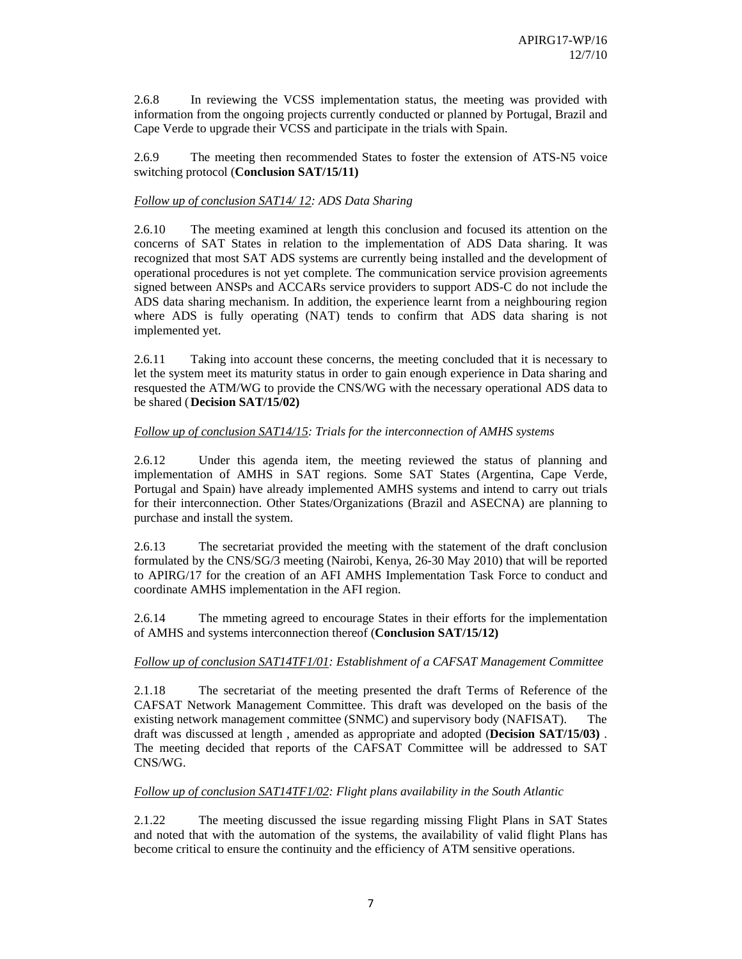2.6.8 In reviewing the VCSS implementation status, the meeting was provided with information from the ongoing projects currently conducted or planned by Portugal, Brazil and Cape Verde to upgrade their VCSS and participate in the trials with Spain.

2.6.9 The meeting then recommended States to foster the extension of ATS-N5 voice switching protocol (**Conclusion SAT/15/11)** 

## *Follow up of conclusion SAT14/ 12: ADS Data Sharing*

2.6.10 The meeting examined at length this conclusion and focused its attention on the concerns of SAT States in relation to the implementation of ADS Data sharing. It was recognized that most SAT ADS systems are currently being installed and the development of operational procedures is not yet complete. The communication service provision agreements signed between ANSPs and ACCARs service providers to support ADS-C do not include the ADS data sharing mechanism. In addition, the experience learnt from a neighbouring region where ADS is fully operating (NAT) tends to confirm that ADS data sharing is not implemented yet.

2.6.11 Taking into account these concerns, the meeting concluded that it is necessary to let the system meet its maturity status in order to gain enough experience in Data sharing and resquested the ATM/WG to provide the CNS/WG with the necessary operational ADS data to be shared ( **Decision SAT/15/02)** 

## *Follow up of conclusion SAT14/15: Trials for the interconnection of AMHS systems*

2.6.12 Under this agenda item, the meeting reviewed the status of planning and implementation of AMHS in SAT regions. Some SAT States (Argentina, Cape Verde, Portugal and Spain) have already implemented AMHS systems and intend to carry out trials for their interconnection. Other States/Organizations (Brazil and ASECNA) are planning to purchase and install the system.

2.6.13 The secretariat provided the meeting with the statement of the draft conclusion formulated by the CNS/SG/3 meeting (Nairobi, Kenya, 26-30 May 2010) that will be reported to APIRG/17 for the creation of an AFI AMHS Implementation Task Force to conduct and coordinate AMHS implementation in the AFI region.

2.6.14 The mmeting agreed to encourage States in their efforts for the implementation of AMHS and systems interconnection thereof (**Conclusion SAT/15/12)** 

## *Follow up of conclusion SAT14TF1/01: Establishment of a CAFSAT Management Committee*

2.1.18 The secretariat of the meeting presented the draft Terms of Reference of the CAFSAT Network Management Committee. This draft was developed on the basis of the existing network management committee (SNMC) and supervisory body (NAFISAT). The draft was discussed at length , amended as appropriate and adopted (**Decision SAT/15/03)** . The meeting decided that reports of the CAFSAT Committee will be addressed to SAT CNS/WG.

## *Follow up of conclusion SAT14TF1/02: Flight plans availability in the South Atlantic*

2.1.22 The meeting discussed the issue regarding missing Flight Plans in SAT States and noted that with the automation of the systems, the availability of valid flight Plans has become critical to ensure the continuity and the efficiency of ATM sensitive operations.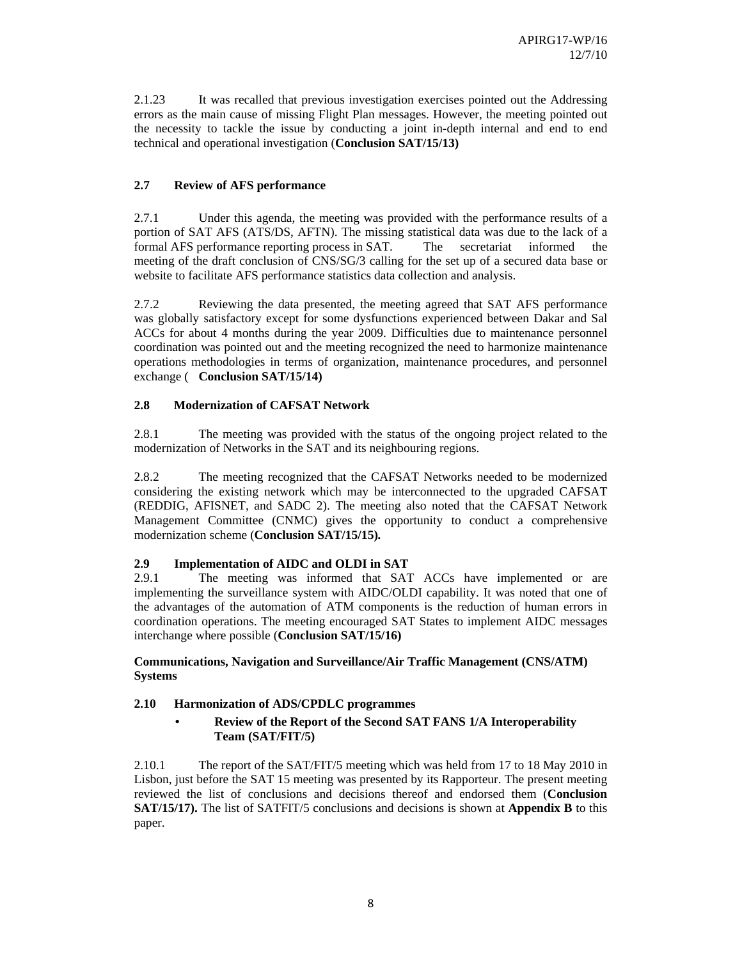2.1.23 It was recalled that previous investigation exercises pointed out the Addressing errors as the main cause of missing Flight Plan messages. However, the meeting pointed out the necessity to tackle the issue by conducting a joint in-depth internal and end to end technical and operational investigation (**Conclusion SAT/15/13)** 

# **2.7 Review of AFS performance**

2.7.1 Under this agenda, the meeting was provided with the performance results of a portion of SAT AFS (ATS/DS, AFTN). The missing statistical data was due to the lack of a formal AFS performance reporting process in SAT. The secretariat informed the meeting of the draft conclusion of CNS/SG/3 calling for the set up of a secured data base or website to facilitate AFS performance statistics data collection and analysis.

2.7.2 Reviewing the data presented, the meeting agreed that SAT AFS performance was globally satisfactory except for some dysfunctions experienced between Dakar and Sal ACCs for about 4 months during the year 2009. Difficulties due to maintenance personnel coordination was pointed out and the meeting recognized the need to harmonize maintenance operations methodologies in terms of organization, maintenance procedures, and personnel exchange ( **Conclusion SAT/15/14)** 

# **2.8 Modernization of CAFSAT Network**

2.8.1 The meeting was provided with the status of the ongoing project related to the modernization of Networks in the SAT and its neighbouring regions.

2.8.2 The meeting recognized that the CAFSAT Networks needed to be modernized considering the existing network which may be interconnected to the upgraded CAFSAT (REDDIG, AFISNET, and SADC 2). The meeting also noted that the CAFSAT Network Management Committee (CNMC) gives the opportunity to conduct a comprehensive modernization scheme (**Conclusion SAT/15/15)***.* 

# **2.9 Implementation of AIDC and OLDI in SAT**

2.9.1 The meeting was informed that SAT ACCs have implemented or are implementing the surveillance system with AIDC/OLDI capability. It was noted that one of the advantages of the automation of ATM components is the reduction of human errors in coordination operations. The meeting encouraged SAT States to implement AIDC messages interchange where possible (**Conclusion SAT/15/16)** 

## **Communications, Navigation and Surveillance/Air Traffic Management (CNS/ATM) Systems**

# **2.10 Harmonization of ADS/CPDLC programmes**

# **• Review of the Report of the Second SAT FANS 1/A Interoperability Team (SAT/FIT/5)**

2.10.1 The report of the SAT/FIT/5 meeting which was held from 17 to 18 May 2010 in Lisbon, just before the SAT 15 meeting was presented by its Rapporteur. The present meeting reviewed the list of conclusions and decisions thereof and endorsed them (**Conclusion SAT/15/17).** The list of SATFIT/5 conclusions and decisions is shown at **Appendix B** to this paper.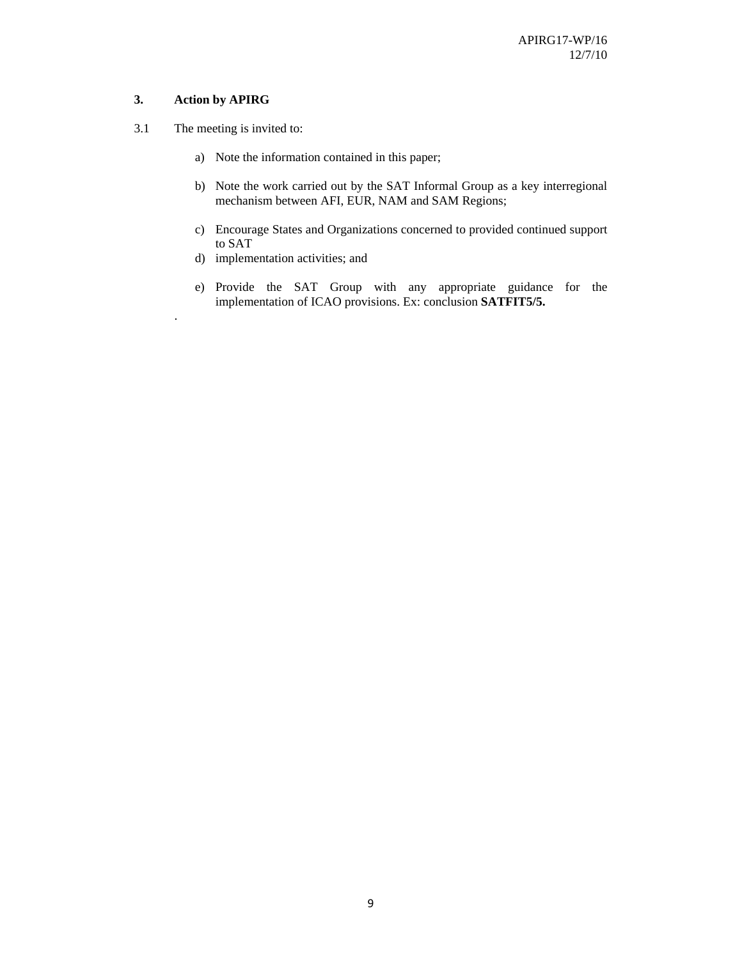## **3. Action by APIRG**

.

- 3.1 The meeting is invited to:
	- a) Note the information contained in this paper;
	- b) Note the work carried out by the SAT Informal Group as a key interregional mechanism between AFI, EUR, NAM and SAM Regions;
	- c) Encourage States and Organizations concerned to provided continued support to SAT
	- d) implementation activities; and
	- e) Provide the SAT Group with any appropriate guidance for the implementation of ICAO provisions. Ex: conclusion **SATFIT5/5.**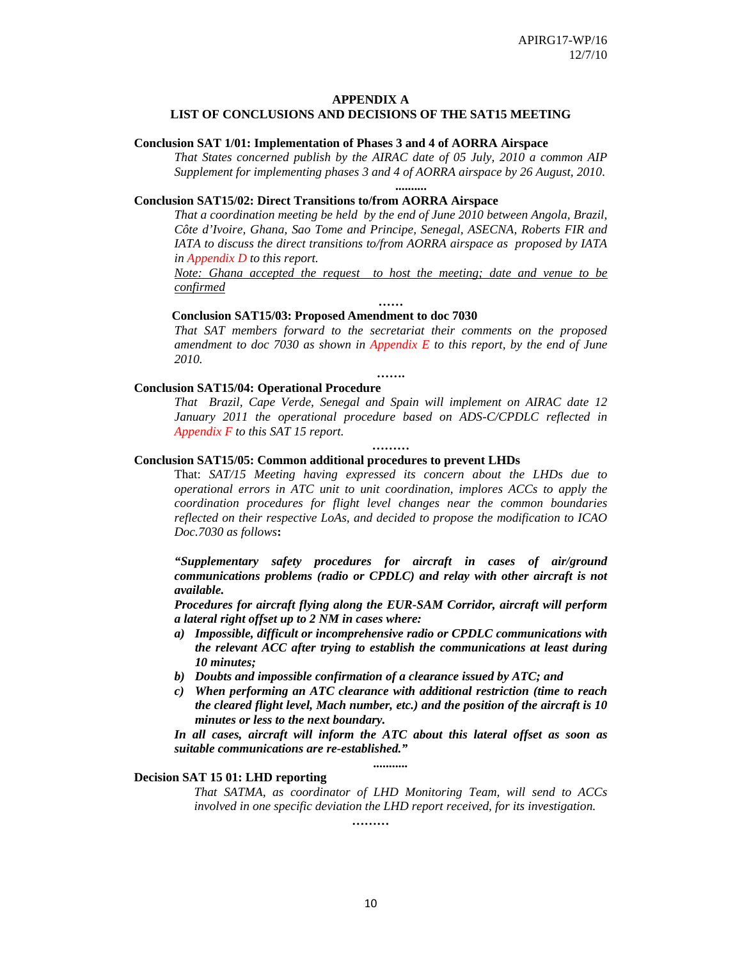## **APPENDIX A**

# **LIST OF CONCLUSIONS AND DECISIONS OF THE SAT15 MEETING**

### **Conclusion SAT 1/01: Implementation of Phases 3 and 4 of AORRA Airspace**

*That States concerned publish by the AIRAC date of 05 July, 2010 a common AIP Supplement for implementing phases 3 and 4 of AORRA airspace by 26 August, 2010*.

**..........** 

### **Conclusion SAT15/02: Direct Transitions to/from AORRA Airspace**

*That a coordination meeting be held by the end of June 2010 between Angola, Brazil, Côte d'Ivoire, Ghana, Sao Tome and Principe, Senegal, ASECNA, Roberts FIR and IATA to discuss the direct transitions to/from AORRA airspace as proposed by IATA in Appendix D to this report.* 

*Note: Ghana accepted the request to host the meeting; date and venue to be confirmed* **……** 

#### **Conclusion SAT15/03: Proposed Amendment to doc 7030**

*That SAT members forward to the secretariat their comments on the proposed amendment to doc 7030 as shown in Appendix E to this report, by the end of June 2010.* 

**…….** 

#### **Conclusion SAT15/04: Operational Procedure**

*That Brazil, Cape Verde, Senegal and Spain will implement on AIRAC date 12 January 2011 the operational procedure based on ADS-C/CPDLC reflected in Appendix F to this SAT 15 report.* 

**………** 

#### **Conclusion SAT15/05: Common additional procedures to prevent LHDs**

That: *SAT/15 Meeting having expressed its concern about the LHDs due to operational errors in ATC unit to unit coordination, implores ACCs to apply the coordination procedures for flight level changes near the common boundaries reflected on their respective LoAs, and decided to propose the modification to ICAO Doc.7030 as follows***:**

*"Supplementary safety procedures for aircraft in cases of air/ground communications problems (radio or CPDLC) and relay with other aircraft is not available.* 

*Procedures for aircraft flying along the EUR-SAM Corridor, aircraft will perform a lateral right offset up to 2 NM in cases where:* 

- *a) Impossible, difficult or incomprehensive radio or CPDLC communications with the relevant ACC after trying to establish the communications at least during 10 minutes;*
- *b) Doubts and impossible confirmation of a clearance issued by ATC; and*
- *c) When performing an ATC clearance with additional restriction (time to reach the cleared flight level, Mach number, etc.) and the position of the aircraft is 10 minutes or less to the next boundary.*

*In all cases, aircraft will inform the ATC about this lateral offset as soon as suitable communications are re-established." ...........* 

## **Decision SAT 15 01: LHD reporting**

*That SATMA, as coordinator of LHD Monitoring Team, will send to ACCs involved in one specific deviation the LHD report received, for its investigation.* 

**………**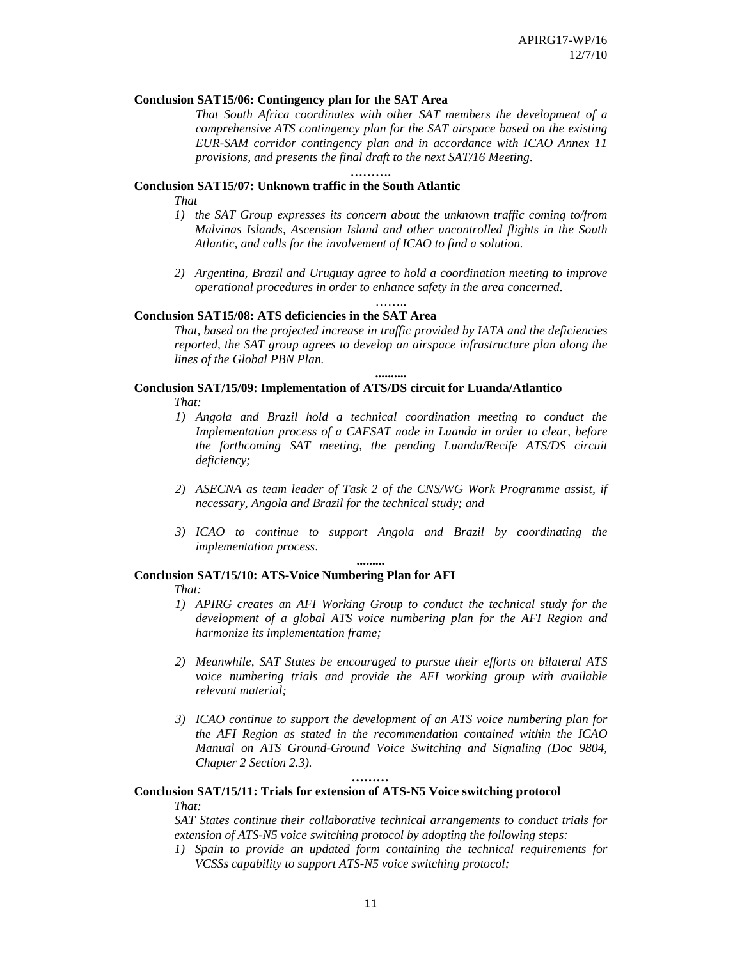## **Conclusion SAT15/06: Contingency plan for the SAT Area**

*That South Africa coordinates with other SAT members the development of a comprehensive ATS contingency plan for the SAT airspace based on the existing EUR-SAM corridor contingency plan and in accordance with ICAO Annex 11 provisions, and presents the final draft to the next SAT/16 Meeting*.

## **Conclusion SAT15/07: Unknown traffic in the South Atlantic**

*That* 

*1) the SAT Group expresses its concern about the unknown traffic coming to/from Malvinas Islands, Ascension Island and other uncontrolled flights in the South Atlantic, and calls for the involvement of ICAO to find a solution.* 

**……….** 

*2) Argentina, Brazil and Uruguay agree to hold a coordination meeting to improve operational procedures in order to enhance safety in the area concerned.*  ……

## **Conclusion SAT15/08: ATS deficiencies in the SAT Area**

*That, based on the projected increase in traffic provided by IATA and the deficiencies reported, the SAT group agrees to develop an airspace infrastructure plan along the lines of the Global PBN Plan.* 

**..........** 

# **Conclusion SAT/15/09: Implementation of ATS/DS circuit for Luanda/Atlantico**  *That:*

- *1) Angola and Brazil hold a technical coordination meeting to conduct the Implementation process of a CAFSAT node in Luanda in order to clear, before the forthcoming SAT meeting, the pending Luanda/Recife ATS/DS circuit deficiency;*
- *2) ASECNA as team leader of Task 2 of the CNS/WG Work Programme assist, if necessary, Angola and Brazil for the technical study; and*
- *3) ICAO to continue to support Angola and Brazil by coordinating the implementation process*.

**.........** 

#### **Conclusion SAT/15/10: ATS-Voice Numbering Plan for AFI**

*That:* 

- *1) APIRG creates an AFI Working Group to conduct the technical study for the development of a global ATS voice numbering plan for the AFI Region and harmonize its implementation frame;*
- *2) Meanwhile, SAT States be encouraged to pursue their efforts on bilateral ATS voice numbering trials and provide the AFI working group with available relevant material;*
- *3) ICAO continue to support the development of an ATS voice numbering plan for the AFI Region as stated in the recommendation contained within the ICAO Manual on ATS Ground-Ground Voice Switching and Signaling (Doc 9804, Chapter 2 Section 2.3).*

## *………*

## **Conclusion SAT/15/11: Trials for extension of ATS-N5 Voice switching protocol**  *That:*

*SAT States continue their collaborative technical arrangements to conduct trials for extension of ATS-N5 voice switching protocol by adopting the following steps:* 

*1) Spain to provide an updated form containing the technical requirements for VCSSs capability to support ATS-N5 voice switching protocol;*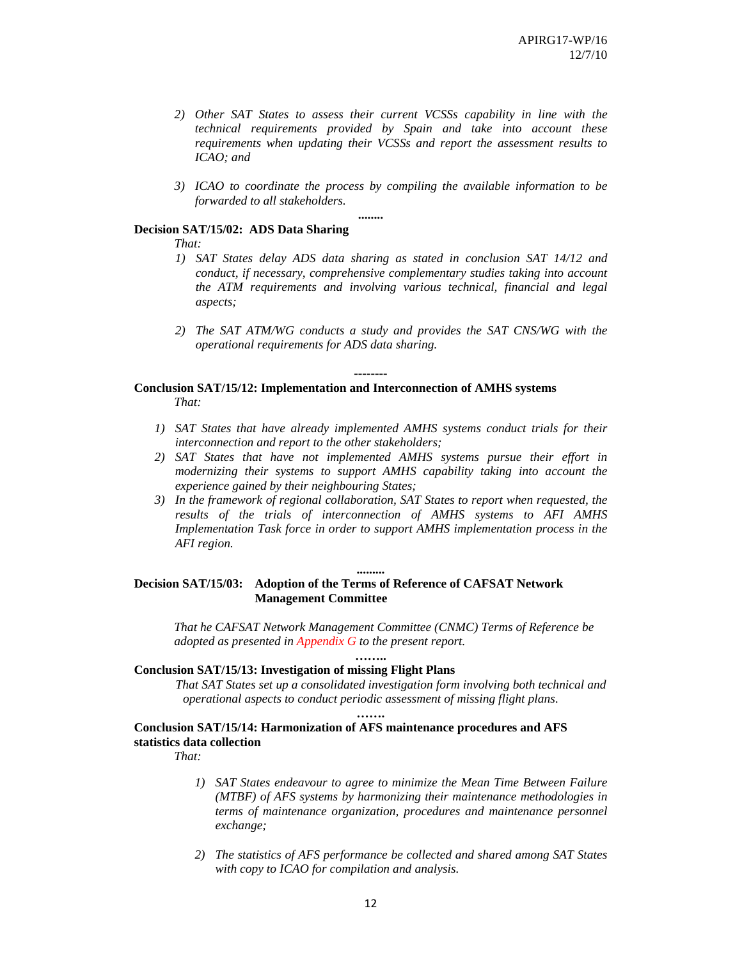- *2) Other SAT States to assess their current VCSSs capability in line with the technical requirements provided by Spain and take into account these requirements when updating their VCSSs and report the assessment results to ICAO; and*
- *3) ICAO to coordinate the process by compiling the available information to be forwarded to all stakeholders.*

**........** 

## **Decision SAT/15/02: ADS Data Sharing**

*That:* 

- *1) SAT States delay ADS data sharing as stated in conclusion SAT 14/12 and conduct, if necessary, comprehensive complementary studies taking into account the ATM requirements and involving various technical, financial and legal aspects;*
- *2) The SAT ATM/WG conducts a study and provides the SAT CNS/WG with the operational requirements for ADS data sharing.*

## **Conclusion SAT/15/12: Implementation and Interconnection of AMHS systems**  *That:*

*1) SAT States that have already implemented AMHS systems conduct trials for their interconnection and report to the other stakeholders;* 

**--------** 

- *2) SAT States that have not implemented AMHS systems pursue their effort in modernizing their systems to support AMHS capability taking into account the experience gained by their neighbouring States;*
- *3) In the framework of regional collaboration, SAT States to report when requested, the results of the trials of interconnection of AMHS systems to AFI AMHS Implementation Task force in order to support AMHS implementation process in the AFI region.*

### **.........**

## **Decision SAT/15/03: Adoption of the Terms of Reference of CAFSAT Network Management Committee**

*That he CAFSAT Network Management Committee (CNMC) Terms of Reference be adopted as presented in Appendix G to the present report.* 

## **…….. Conclusion SAT/15/13: Investigation of missing Flight Plans**

*That SAT States set up a consolidated investigation form involving both technical and operational aspects to conduct periodic assessment of missing flight plans*.

## **Conclusion SAT/15/14: Harmonization of AFS maintenance procedures and AFS statistics data collection**

**…….** 

*That:* 

- *1) SAT States endeavour to agree to minimize the Mean Time Between Failure (MTBF) of AFS systems by harmonizing their maintenance methodologies in terms of maintenance organization, procedures and maintenance personnel exchange;*
- *2) The statistics of AFS performance be collected and shared among SAT States with copy to ICAO for compilation and analysis.*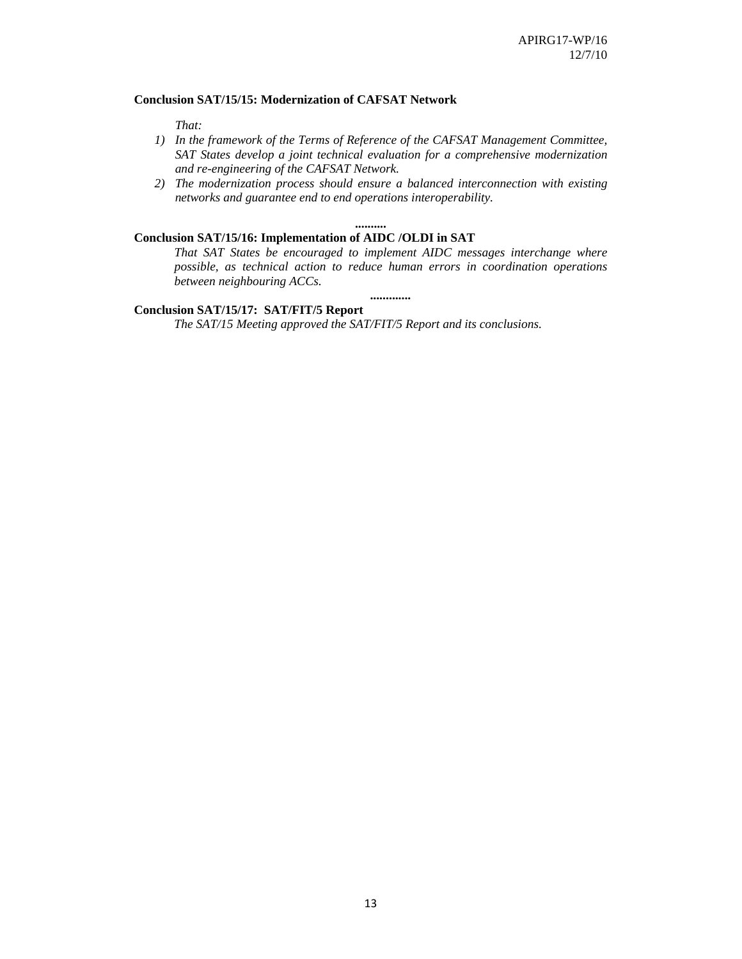## **Conclusion SAT/15/15: Modernization of CAFSAT Network**

*That:* 

- *1) In the framework of the Terms of Reference of the CAFSAT Management Committee, SAT States develop a joint technical evaluation for a comprehensive modernization and re-engineering of the CAFSAT Network.*
- *2) The modernization process should ensure a balanced interconnection with existing networks and guarantee end to end operations interoperability.*

#### **..........**

# **Conclusion SAT/15/16: Implementation of AIDC /OLDI in SAT**

*That SAT States be encouraged to implement AIDC messages interchange where possible, as technical action to reduce human errors in coordination operations between neighbouring ACCs.* 

*.............* 

## **Conclusion SAT/15/17: SAT/FIT/5 Report**

 *The SAT/15 Meeting approved the SAT/FIT/5 Report and its conclusions.*